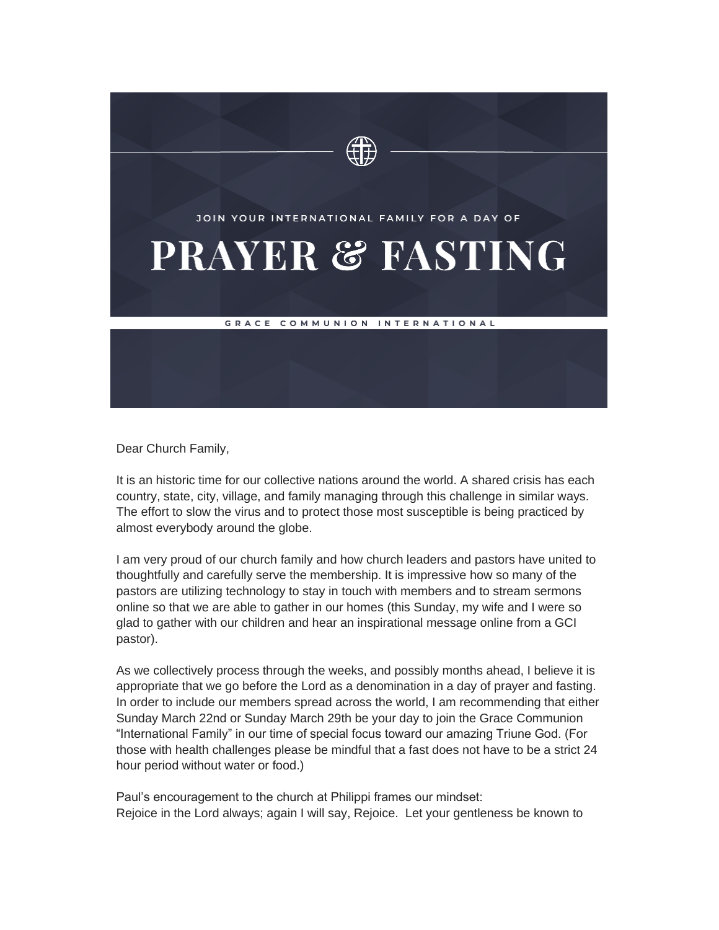

Dear Church Family,

It is an historic time for our collective nations around the world. A shared crisis has each country, state, city, village, and family managing through this challenge in similar ways. The effort to slow the virus and to protect those most susceptible is being practiced by almost everybody around the globe.

I am very proud of our church family and how church leaders and pastors have united to thoughtfully and carefully serve the membership. It is impressive how so many of the pastors are utilizing technology to stay in touch with members and to stream sermons online so that we are able to gather in our homes (this Sunday, my wife and I were so glad to gather with our children and hear an inspirational message online from a GCI pastor).

As we collectively process through the weeks, and possibly months ahead, I believe it is appropriate that we go before the Lord as a denomination in a day of prayer and fasting. In order to include our members spread across the world, I am recommending that either Sunday March 22nd or Sunday March 29th be your day to join the Grace Communion "International Family" in our time of special focus toward our amazing Triune God. (For those with health challenges please be mindful that a fast does not have to be a strict 24 hour period without water or food.)

Paul's encouragement to the church at Philippi frames our mindset: Rejoice in the Lord always; again I will say, Rejoice. Let your gentleness be known to